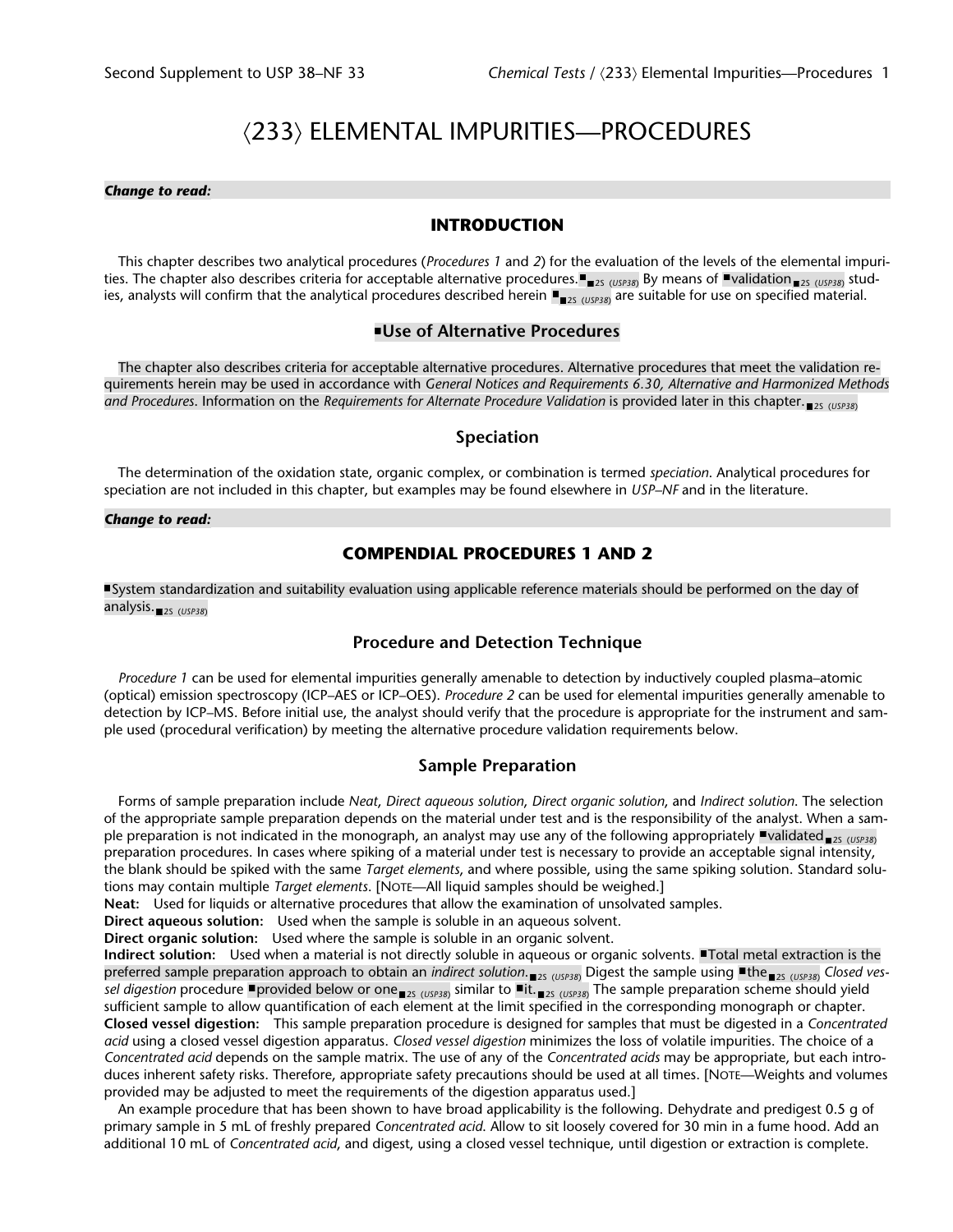# á233ñ ELEMENTAL IMPURITIES—PROCEDURES

#### *Change to read:*

## **INTRODUCTION**

This chapter describes two analytical procedures (*Procedures 1* and *2*) for the evaluation of the levels of the elemental impurities. The chapter also describes criteria for acceptable alternative procedures. <sub>23 (USP38)</sub> By means of "validation<sub>25 (USP38)</sub> studies, analysts will confirm that the analytical procedures described herein ■<sub>■2s (USP38)</sub> are suitable for use on specified material.

#### **Use of Alternative Procedures**

The chapter also describes criteria for acceptable alternative procedures. Alternative procedures that meet the validation requirements herein may be used in accordance with *General Notices and Requirements 6.30, Alternative and Harmonized Methods* and Procedures. Information on the *Requirements for Alternate Procedure Validation* is provided later in this chapter. <sub>225 (USP38)</sub>

#### **Speciation**

The determination of the oxidation state, organic complex, or combination is termed *speciation*. Analytical procedures for speciation are not included in this chapter, but examples may be found elsewhere in *USP–NF* and in the literature.

#### *Change to read:*

#### **COMPENDIAL PROCEDURES 1 AND 2**

System standardization and suitability evaluation using applicable reference materials should be performed on the day of analysis.<sub>■2S (USP38)</sub>

### **Procedure and Detection Technique**

*Procedure 1* can be used for elemental impurities generally amenable to detection by inductively coupled plasma–atomic (optical) emission spectroscopy (ICP–AES or ICP–OES). *Procedure 2* can be used for elemental impurities generally amenable to detection by ICP–MS. Before initial use, the analyst should verify that the procedure is appropriate for the instrument and sample used (procedural verification) by meeting the alternative procedure validation requirements below.

#### **Sample Preparation**

Forms of sample preparation include *Neat*, *Direct aqueous solution*, *Direct organic solution*, and *Indirect solution*. The selection of the appropriate sample preparation depends on the material under test and is the responsibility of the analyst. When a sample preparation is not indicated in the monograph, an analyst may use any of the following appropriately **"validated** <sub>2S (USP38)</sub> preparation procedures. In cases where spiking of a material under test is necessary to provide an acceptable signal intensity, the blank should be spiked with the same *Target elements*, and where possible, using the same spiking solution. Standard solutions may contain multiple *Target elements*. [NOTE—All liquid samples should be weighed.]

**Neat:** Used for liquids or alternative procedures that allow the examination of unsolvated samples.

**Direct aqueous solution:** Used when the sample is soluble in an aqueous solvent.

**Direct organic solution:** Used where the sample is soluble in an organic solvent.

**Indirect solution:** Used when a material is not directly soluble in aqueous or organic solvents. Total metal extraction is the preferred sample preparation approach to obtain an *indirect solution*.<sub>■2S (USP38)</sub> Digest the sample using ■the<sub>■2S (USP38)</sub> Clos*ed ves*s*el digestion* procedure **¤**provided below or one <sub>■2S (</sub><sub>USP38)</sub> similar to ■it. <sub>■2S (USP38)</sub> The sample preparation scheme should yield sufficient sample to allow quantification of each element at the limit specified in the corresponding monograph or chapter. **Closed vessel digestion:** This sample preparation procedure is designed for samples that must be digested in a *Concentrated acid* using a closed vessel digestion apparatus. *Closed vessel digestion* minimizes the loss of volatile impurities. The choice of a *Concentrated acid* depends on the sample matrix. The use of any of the *Concentrated acids* may be appropriate, but each introduces inherent safety risks. Therefore, appropriate safety precautions should be used at all times. [NOTE—Weights and volumes provided may be adjusted to meet the requirements of the digestion apparatus used.]

An example procedure that has been shown to have broad applicability is the following. Dehydrate and predigest 0.5 g of primary sample in 5 mL of freshly prepared *Concentrated acid*. Allow to sit loosely covered for 30 min in a fume hood. Add an additional 10 mL of *Concentrated acid*, and digest, using a closed vessel technique, until digestion or extraction is complete.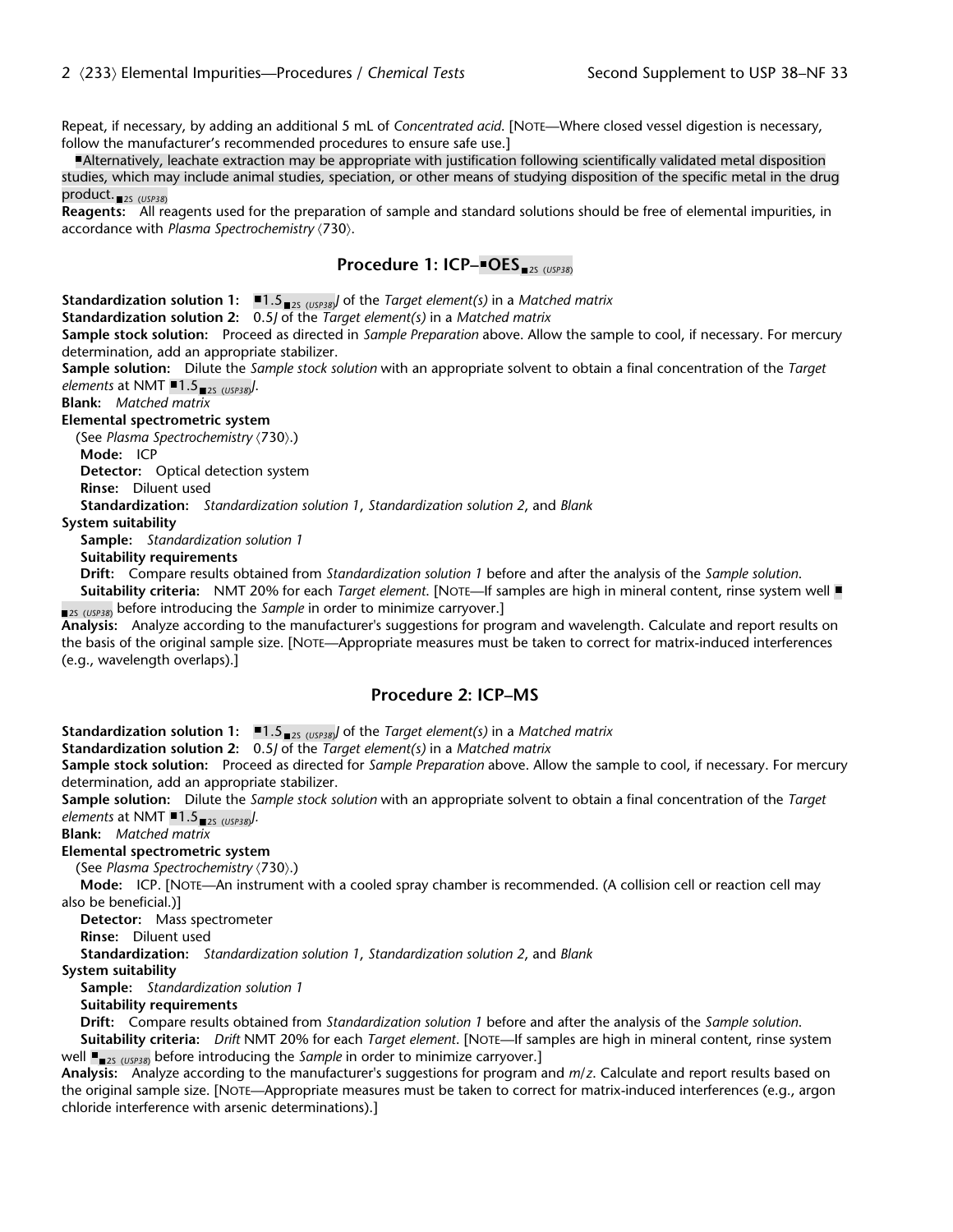Repeat, if necessary, by adding an additional 5 mL of *Concentrated acid*. [NOTE—Where closed vessel digestion is necessary, follow the manufacturer's recommended procedures to ensure safe use.]

Alternatively, leachate extraction may be appropriate with justification following scientifically validated metal disposition studies, which may include animal studies, speciation, or other means of studying disposition of the specific metal in the drug product.<sub>2S (USP38)</sub>

**Reagents:** All reagents used for the preparation of sample and standard solutions should be free of elemental impurities, in accordance with *Plasma Spectrochemistry*  $\langle 730 \rangle$ .

# **Procedure 1: ICP–■OES** 2S (*USP38*)

**Standardization solution 1:**  $\blacksquare$ **1.5**  $\blacksquare$ <sub>2S (*USP38)*</sub> of the *Target element(s)* in a *Matched matrix* 

**Standardization solution 2:** 0.5*J* of the *Target element(s)* in a *Matched matrix*

**Sample stock solution:** Proceed as directed in *Sample Preparation* above. Allow the sample to cool, if necessary. For mercury determination, add an appropriate stabilizer.

**Sample solution:** Dilute the *Sample stock solution* with an appropriate solvent to obtain a final concentration of the *Target elements* at NMT  $\blacksquare$ 1.5 <sub>2S (USP38)</sub>.

**Blank:** *Matched matrix*

**Elemental spectrometric system**

(See *Plasma Spectrochemistry*  $\langle 730 \rangle$ .)

**Mode:** ICP

**Detector:** Optical detection system

**Rinse:** Diluent used

**Standardization:** *Standardization solution 1*, *Standardization solution 2*, and *Blank*

#### **System suitability**

**Sample:** *Standardization solution 1*

**Suitability requirements**

**Drift:** Compare results obtained from *Standardization solution 1* before and after the analysis of the *Sample solution*.

**Suitability criteria:** NMT 20% for each *Target element*. [NOTE—If samples are high in mineral content, rinse system well <sub>2s (USP38)</sub> before introducing the *Sample* in order to minimize carryover.]

**Analysis:** Analyze according to the manufacturer's suggestions for program and wavelength. Calculate and report results on the basis of the original sample size. [NOTE—Appropriate measures must be taken to correct for matrix-induced interferences (e.g., wavelength overlaps).]

## **Procedure 2: ICP–MS**

**Standardization solution 1:**  $\blacksquare$ 1.5 <sub> $\blacksquare$ 2s (*USP38*) of the *Target element(s)* in a *Matched matrix*</sub>

**Standardization solution 2:** 0.5*J* of the *Target element(s)* in a *Matched matrix*

**Sample stock solution:** Proceed as directed for *Sample Preparation* above. Allow the sample to cool, if necessary. For mercury determination, add an appropriate stabilizer.

**Sample solution:** Dilute the *Sample stock solution* with an appropriate solvent to obtain a final concentration of the *Target elements* at NMT ■1.5<sub>■2S (USP38)</sub>.

**Blank:** *Matched matrix*

# **Elemental spectrometric system**

(See *Plasma Spectrochemistry*  $\langle 730 \rangle$ .)

**Mode:** ICP. [NOTE—An instrument with a cooled spray chamber is recommended. (A collision cell or reaction cell may also be beneficial.)]

**Detector:** Mass spectrometer

**Rinse:** Diluent used

**Standardization:** *Standardization solution 1*, *Standardization solution 2*, and *Blank*

**System suitability**

**Sample:** *Standardization solution 1*

**Suitability requirements**

**Drift:** Compare results obtained from *Standardization solution 1* before and after the analysis of the *Sample solution*.

**Suitability criteria:** *Drift* NMT 20% for each *Target element*. [NOTE—If samples are high in mineral content, rinse system well ■<sub>■2s (USP38)</sub> before introducing the *Sample* in order to minimize carryover.]

**Analysis:** Analyze according to the manufacturer's suggestions for program and *m*/*z*. Calculate and report results based on the original sample size. [NOTE—Appropriate measures must be taken to correct for matrix-induced interferences (e.g., argon chloride interference with arsenic determinations).]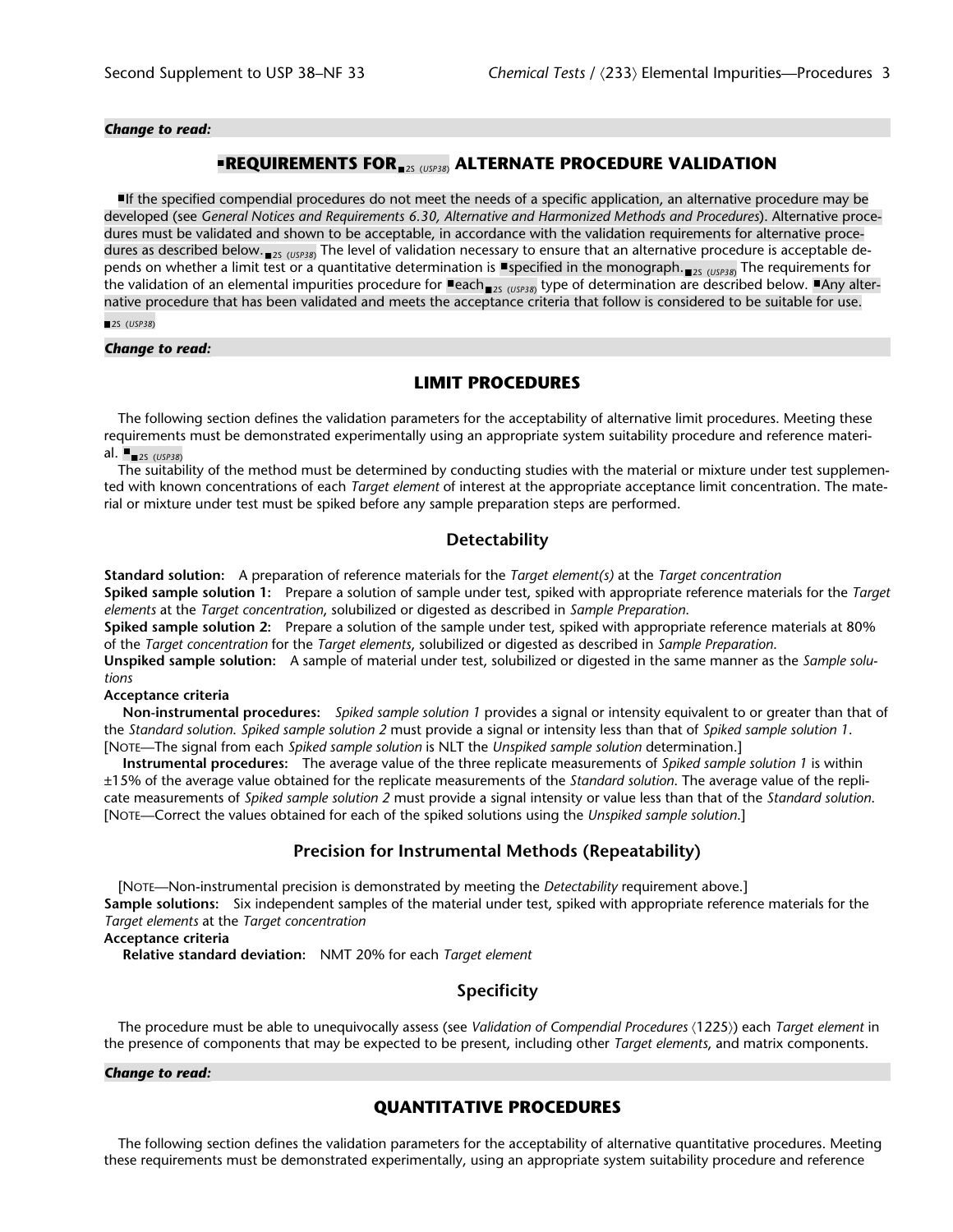*Change to read:*

# **REQUIREMENTS FOR** 2S (*USP38*)  **ALTERNATE PROCEDURE VALIDATION**

If the specified compendial procedures do not meet the needs of a specific application, an alternative procedure may be developed (see *General Notices and Requirements 6.30, Alternative and Harmonized Methods and Procedures*). Alternative procedures must be validated and shown to be acceptable, in accordance with the validation requirements for alternative procedures as described below.<sub>■2S (USP38)</sub> The level of validation necessary to ensure that an alternative procedure is acceptable depends on whether a limit test or a quantitative determination is **Specified in the monograph.<sub>■2S (USP38)</sub> The requirements for** the validation of an elemental impurities procedure for ■each<sub>■2s (USP38)</sub> type of determination are described below. ■Any alternative procedure that has been validated and meets the acceptance criteria that follow is considered to be suitable for use.

2S (*USP38*)

#### *Change to read:*

## **LIMIT PROCEDURES**

The following section defines the validation parameters for the acceptability of alternative limit procedures. Meeting these requirements must be demonstrated experimentally using an appropriate system suitability procedure and reference material.  $\blacksquare$ <sub>2S (USP38)</sub>

The suitability of the method must be determined by conducting studies with the material or mixture under test supplemented with known concentrations of each *Target element* of interest at the appropriate acceptance limit concentration. The material or mixture under test must be spiked before any sample preparation steps are performed.

## **Detectability**

**Standard solution:** A preparation of reference materials for the *Target element(s)* at the *Target concentration*

**Spiked sample solution 1:** Prepare a solution of sample under test, spiked with appropriate reference materials for the *Target elements* at the *Target concentration*, solubilized or digested as described in *Sample Preparation*.

**Spiked sample solution 2:** Prepare a solution of the sample under test, spiked with appropriate reference materials at 80% of the *Target concentration* for the *Target elements*, solubilized or digested as described in *Sample Preparation*.

**Unspiked sample solution:** A sample of material under test, solubilized or digested in the same manner as the *Sample solutions*

#### **Acceptance criteria**

**Non-instrumental procedures:** *Spiked sample solution 1* provides a signal or intensity equivalent to or greater than that of the *Standard solution*. *Spiked sample solution 2* must provide a signal or intensity less than that of *Spiked sample solution 1*. [NOTE—The signal from each *Spiked sample solution* is NLT the *Unspiked sample solution* determination.]

**Instrumental procedures:** The average value of the three replicate measurements of *Spiked sample solution 1* is within ±15% of the average value obtained for the replicate measurements of the *Standard solution*. The average value of the replicate measurements of *Spiked sample solution 2* must provide a signal intensity or value less than that of the *Standard solution*. [NOTE—Correct the values obtained for each of the spiked solutions using the *Unspiked sample solution*.]

## **Precision for Instrumental Methods (Repeatability)**

[NOTE—Non-instrumental precision is demonstrated by meeting the *Detectability* requirement above.] **Sample solutions:** Six independent samples of the material under test, spiked with appropriate reference materials for the *Target elements* at the *Target concentration*

**Acceptance criteria**

**Relative standard deviation:** NMT 20% for each *Target element*

## **Specificity**

The procedure must be able to unequivocally assess (see *Validation of Compendial Procedures*  $(1225)$ ) each *Target element* in the presence of components that may be expected to be present, including other *Target elements*, and matrix components.

#### *Change to read:*

# **QUANTITATIVE PROCEDURES**

The following section defines the validation parameters for the acceptability of alternative quantitative procedures. Meeting these requirements must be demonstrated experimentally, using an appropriate system suitability procedure and reference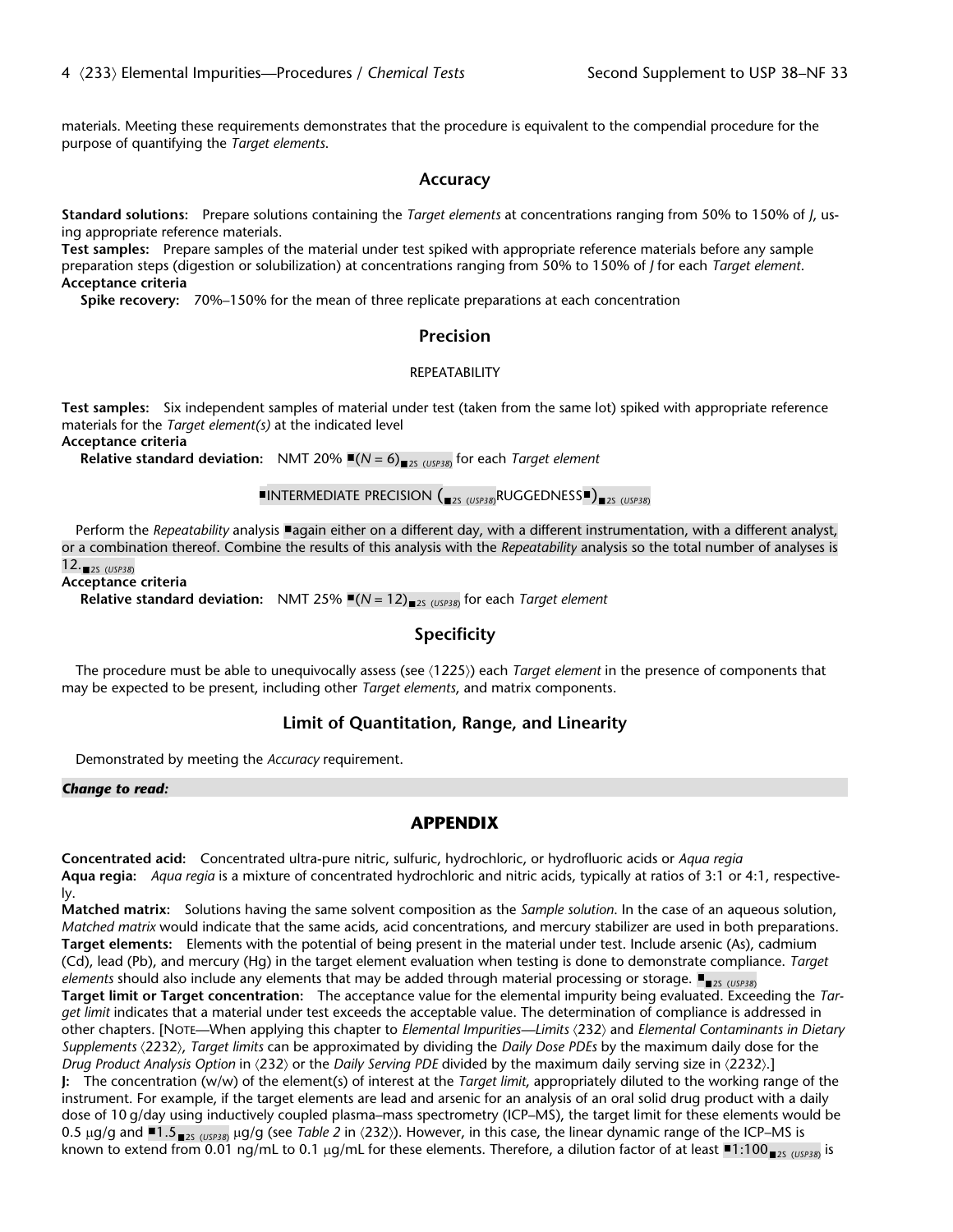materials. Meeting these requirements demonstrates that the procedure is equivalent to the compendial procedure for the purpose of quantifying the *Target elements*.

#### **Accuracy**

**Standard solutions:** Prepare solutions containing the *Target elements* at concentrations ranging from 50% to 150% of *J*, using appropriate reference materials.

**Test samples:** Prepare samples of the material under test spiked with appropriate reference materials before any sample preparation steps (digestion or solubilization) at concentrations ranging from 50% to 150% of *J* for each *Target element*. **Acceptance criteria**

**Spike recovery:** 70%–150% for the mean of three replicate preparations at each concentration

## **Precision**

#### REPEATABILITY

**Test samples:** Six independent samples of material under test (taken from the same lot) spiked with appropriate reference materials for the *Target element(s)* at the indicated level

**Acceptance criteria**

**Relative standard deviation:** NMT 20% ■(N = 6)<sub>■2S (USP38)</sub> for each *Target element* 

# **INTERMEDIATE PRECISION (**25 (USP38)RUGGEDNESS<sup>(25)</sup>25 (USP38)

Perform the *Repeatability* analysis **a**gain either on a different day, with a different instrumentation, with a different analyst, or a combination thereof. Combine the results of this analysis with the *Repeatability* analysis so the total number of analyses is 12.<sub>■2S (USP38)</sub>

**Acceptance criteria**

**Relative standard deviation:** NMT 25% ■(N = 12)<sub>■25 (USP38)</sub> for each *Target element* 

## **Specificity**

The procedure must be able to unequivocally assess (see  $(1225)$ ) each *Target element* in the presence of components that may be expected to be present, including other *Target elements*, and matrix components.

## **Limit of Quantitation, Range, and Linearity**

Demonstrated by meeting the *Accuracy* requirement.

#### *Change to read:*

# **APPENDIX**

**Concentrated acid:** Concentrated ultra-pure nitric, sulfuric, hydrochloric, or hydrofluoric acids or *Aqua regia* **Aqua regia:** *Aqua regia* is a mixture of concentrated hydrochloric and nitric acids, typically at ratios of 3:1 or 4:1, respectively.

**Matched matrix:** Solutions having the same solvent composition as the *Sample solution*. In the case of an aqueous solution, *Matched matrix* would indicate that the same acids, acid concentrations, and mercury stabilizer are used in both preparations. **Target elements:** Elements with the potential of being present in the material under test. Include arsenic (As), cadmium (Cd), lead (Pb), and mercury (Hg) in the target element evaluation when testing is done to demonstrate compliance. *Target elements* should also include any elements that may be added through material processing or storage. <sub>25 (USP38)</sub> **Target limit or Target concentration:** The acceptance value for the elemental impurity being evaluated. Exceeding the *Target limit* indicates that a material under test exceeds the acceptable value. The determination of compliance is addressed in other chapters. [NOTE—When applying this chapter to *Elemental Impurities—Limits* á232ñ and *Elemental Contaminants in Dietary Supplements*  $\langle 2232 \rangle$ *, Target limits* can be approximated by dividing the *Daily Dose PDEs* by the maximum daily dose for the *Drug Product Analysis Option* in (232) or the *Daily Serving PDE* divided by the maximum daily serving size in (2232).] **J:** The concentration (w/w) of the element(s) of interest at the *Target limit*, appropriately diluted to the working range of the instrument. For example, if the target elements are lead and arsenic for an analysis of an oral solid drug product with a daily dose of 10 g/day using inductively coupled plasma–mass spectrometry (ICP–MS), the target limit for these elements would be

0.5 µg/g and  $\blacksquare$ 1.5  $\blacksquare$ <sub>2S (USP38)</sub> µg/g (see *Table 2* in  $(232)$ ). However, in this case, the linear dynamic range of the ICP–MS is known to extend from 0.01 ng/mL to 0.1 µg/mL for these elements. Therefore, a dilution factor of at least ■1:100<sub>■25 (USP38)</sub> is